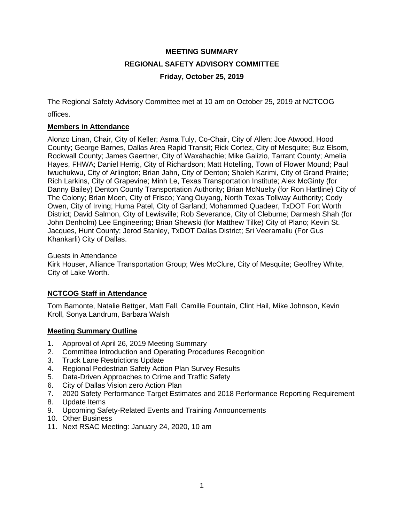# **MEETING SUMMARY REGIONAL SAFETY ADVISORY COMMITTEE Friday, October 25, 2019**

The Regional Safety Advisory Committee met at 10 am on October 25, 2019 at NCTCOG offices.

# **Members in Attendance**

Alonzo Linan, Chair, City of Keller; Asma Tuly, Co-Chair, City of Allen; Joe Atwood, Hood County; George Barnes, Dallas Area Rapid Transit; Rick Cortez, City of Mesquite; Buz Elsom, Rockwall County; James Gaertner, City of Waxahachie; Mike Galizio, Tarrant County; Amelia Hayes, FHWA; Daniel Herrig, City of Richardson; Matt Hotelling, Town of Flower Mound; Paul Iwuchukwu, City of Arlington; Brian Jahn, City of Denton; Sholeh Karimi, City of Grand Prairie; Rich Larkins, City of Grapevine; Minh Le, Texas Transportation Institute; Alex McGinty (for Danny Bailey) Denton County Transportation Authority; Brian McNuelty (for Ron Hartline) City of The Colony; Brian Moen, City of Frisco; Yang Ouyang, North Texas Tollway Authority; Cody Owen, City of Irving; Huma Patel, City of Garland; Mohammed Quadeer, TxDOT Fort Worth District; David Salmon, City of Lewisville; Rob Severance, City of Cleburne; Darmesh Shah (for John Denholm) Lee Engineering; Brian Shewski (for Matthew Tilke) City of Plano; Kevin St. Jacques, Hunt County; Jerod Stanley, TxDOT Dallas District; Sri Veeramallu (For Gus Khankarli) City of Dallas.

#### Guests in Attendance

Kirk Houser, Alliance Transportation Group; Wes McClure, City of Mesquite; Geoffrey White, City of Lake Worth.

# **NCTCOG Staff in Attendance**

Tom Bamonte, Natalie Bettger, Matt Fall, Camille Fountain, Clint Hail, Mike Johnson, Kevin Kroll, Sonya Landrum, Barbara Walsh

# **Meeting Summary Outline**

- 1. Approval of April 26, 2019 Meeting Summary
- 2. Committee Introduction and Operating Procedures Recognition
- 3. Truck Lane Restrictions Update
- 4. Regional Pedestrian Safety Action Plan Survey Results
- 5. Data-Driven Approaches to Crime and Traffic Safety
- 6. City of Dallas Vision zero Action Plan
- 7. 2020 Safety Performance Target Estimates and 2018 Performance Reporting Requirement
- 8. Update Items
- 9. Upcoming Safety-Related Events and Training Announcements
- 10. Other Business
- 11. Next RSAC Meeting: January 24, 2020, 10 am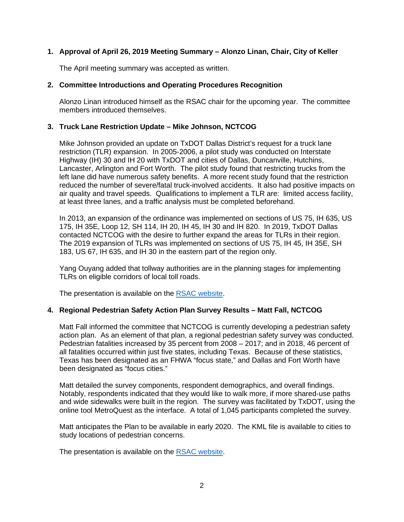# **1. Approval of April 26, 2019 Meeting Summary – Alonzo Linan, Chair, City of Keller**

The April meeting summary was accepted as written.

### **2. Committee Introductions and Operating Procedures Recognition**

Alonzo Linan introduced himself as the RSAC chair for the upcoming year. The committee members introduced themselves.

#### **3. Truck Lane Restriction Update – Mike Johnson, NCTCOG**

Mike Johnson provided an update on TxDOT Dallas District's request for a truck lane restriction (TLR) expansion. In 2005-2006, a pilot study was conducted on Interstate Highway (IH) 30 and IH 20 with TxDOT and cities of Dallas, Duncanville, Hutchins, Lancaster, Arlington and Fort Worth. The pilot study found that restricting trucks from the left lane did have numerous safety benefits. A more recent study found that the restriction reduced the number of severe/fatal truck-involved accidents. It also had positive impacts on air quality and travel speeds. Qualifications to implement a TLR are: limited access facility, at least three lanes, and a traffic analysis must be completed beforehand.

In 2013, an expansion of the ordinance was implemented on sections of US 75, IH 635, US 175, IH 35E, Loop 12, SH 114, IH 20, IH 45, IH 30 and IH 820. In 2019, TxDOT Dallas contacted NCTCOG with the desire to further expand the areas for TLRs in their region. The 2019 expansion of TLRs was implemented on sections of US 75, IH 45, IH 35E, SH 183, US 67, IH 635, and IH 30 in the eastern part of the region only.

Yang Ouyang added that tollway authorities are in the planning stages for implementing TLRs on eligible corridors of local toll roads.

The presentation is available on the [RSAC website.](https://www.nctcog.org/trans/about/committees/regional-safety-advisory-committee)

# **4. Regional Pedestrian Safety Action Plan Survey Results – Matt Fall, NCTCOG**

Matt Fall informed the committee that NCTCOG is currently developing a pedestrian safety action plan. As an element of that plan, a regional pedestrian safety survey was conducted. Pedestrian fatalities increased by 35 percent from 2008 – 2017; and in 2018, 46 percent of all fatalities occurred within just five states, including Texas. Because of these statistics, Texas has been designated as an FHWA "focus state," and Dallas and Fort Worth have been designated as "focus cities."

Matt detailed the survey components, respondent demographics, and overall findings. Notably, respondents indicated that they would like to walk more, if more shared-use paths and wide sidewalks were built in the region. The survey was facilitated by TxDOT, using the online tool MetroQuest as the interface. A total of 1,045 participants completed the survey.

Matt anticipates the Plan to be available in early 2020. The KML file is available to cities to study locations of pedestrian concerns.

The presentation is available on the [RSAC website.](https://www.nctcog.org/trans/about/committees/regional-safety-advisory-committee)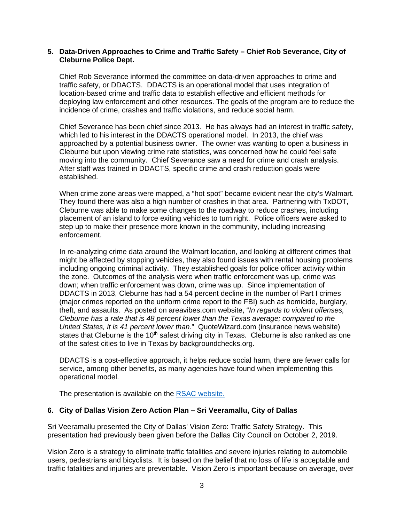#### **5. Data-Driven Approaches to Crime and Traffic Safety – Chief Rob Severance, City of Cleburne Police Dept.**

Chief Rob Severance informed the committee on data-driven approaches to crime and traffic safety, or DDACTS. DDACTS is an operational model that uses integration of location-based crime and traffic data to establish effective and efficient methods for deploying law enforcement and other resources. The goals of the program are to reduce the incidence of crime, crashes and traffic violations, and reduce social harm.

Chief Severance has been chief since 2013. He has always had an interest in traffic safety, which led to his interest in the DDACTS operational model. In 2013, the chief was approached by a potential business owner. The owner was wanting to open a business in Cleburne but upon viewing crime rate statistics, was concerned how he could feel safe moving into the community. Chief Severance saw a need for crime and crash analysis. After staff was trained in DDACTS, specific crime and crash reduction goals were established.

When crime zone areas were mapped, a "hot spot" became evident near the city's Walmart. They found there was also a high number of crashes in that area. Partnering with TxDOT, Cleburne was able to make some changes to the roadway to reduce crashes, including placement of an island to force exiting vehicles to turn right. Police officers were asked to step up to make their presence more known in the community, including increasing enforcement.

In re-analyzing crime data around the Walmart location, and looking at different crimes that might be affected by stopping vehicles, they also found issues with rental housing problems including ongoing criminal activity. They established goals for police officer activity within the zone. Outcomes of the analysis were when traffic enforcement was up, crime was down; when traffic enforcement was down, crime was up. Since implementation of DDACTS in 2013, Cleburne has had a 54 percent decline in the number of Part I crimes (major crimes reported on the uniform crime report to the FBI) such as homicide, burglary, theft, and assaults. As posted on areavibes.com website, "*In regards to violent offenses, Cleburne has a rate that is 48 percent lower than the Texas average; compared to the United States, it is 41 percent lower than*." QuoteWizard.com (insurance news website) states that Cleburne is the 10<sup>th</sup> safest driving city in Texas. Cleburne is also ranked as one of the safest cities to live in Texas by backgroundchecks.org.

DDACTS is a cost-effective approach, it helps reduce social harm, there are fewer calls for service, among other benefits, as many agencies have found when implementing this operational model.

The presentation is available on the [RSAC website.](https://www.nctcog.org/trans/about/committees/regional-safety-advisory-committee)

# **6. City of Dallas Vision Zero Action Plan – Sri Veeramallu, City of Dallas**

Sri Veeramallu presented the City of Dallas' Vision Zero: Traffic Safety Strategy. This presentation had previously been given before the Dallas City Council on October 2, 2019.

Vision Zero is a strategy to eliminate traffic fatalities and severe injuries relating to automobile users, pedestrians and bicyclists. It is based on the belief that no loss of life is acceptable and traffic fatalities and injuries are preventable. Vision Zero is important because on average, over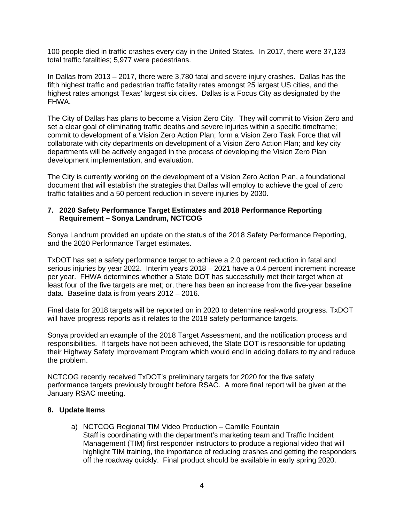100 people died in traffic crashes every day in the United States. In 2017, there were 37,133 total traffic fatalities; 5,977 were pedestrians.

In Dallas from 2013 – 2017, there were 3,780 fatal and severe injury crashes. Dallas has the fifth highest traffic and pedestrian traffic fatality rates amongst 25 largest US cities, and the highest rates amongst Texas' largest six cities. Dallas is a Focus City as designated by the FHWA.

The City of Dallas has plans to become a Vision Zero City. They will commit to Vision Zero and set a clear goal of eliminating traffic deaths and severe injuries within a specific timeframe; commit to development of a Vision Zero Action Plan; form a Vision Zero Task Force that will collaborate with city departments on development of a Vision Zero Action Plan; and key city departments will be actively engaged in the process of developing the Vision Zero Plan development implementation, and evaluation.

The City is currently working on the development of a Vision Zero Action Plan, a foundational document that will establish the strategies that Dallas will employ to achieve the goal of zero traffic fatalities and a 50 percent reduction in severe injuries by 2030.

#### **7. 2020 Safety Performance Target Estimates and 2018 Performance Reporting Requirement – Sonya Landrum, NCTCOG**

Sonya Landrum provided an update on the status of the 2018 Safety Performance Reporting, and the 2020 Performance Target estimates.

TxDOT has set a safety performance target to achieve a 2.0 percent reduction in fatal and serious injuries by year 2022. Interim years 2018 – 2021 have a 0.4 percent increment increase per year. FHWA determines whether a State DOT has successfully met their target when at least four of the five targets are met; or, there has been an increase from the five-year baseline data. Baseline data is from years 2012 – 2016.

Final data for 2018 targets will be reported on in 2020 to determine real-world progress. TxDOT will have progress reports as it relates to the 2018 safety performance targets.

Sonya provided an example of the 2018 Target Assessment, and the notification process and responsibilities. If targets have not been achieved, the State DOT is responsible for updating their Highway Safety Improvement Program which would end in adding dollars to try and reduce the problem.

NCTCOG recently received TxDOT's preliminary targets for 2020 for the five safety performance targets previously brought before RSAC. A more final report will be given at the January RSAC meeting.

#### **8. Update Items**

a) NCTCOG Regional TIM Video Production – Camille Fountain Staff is coordinating with the department's marketing team and Traffic Incident Management (TIM) first responder instructors to produce a regional video that will highlight TIM training, the importance of reducing crashes and getting the responders off the roadway quickly. Final product should be available in early spring 2020.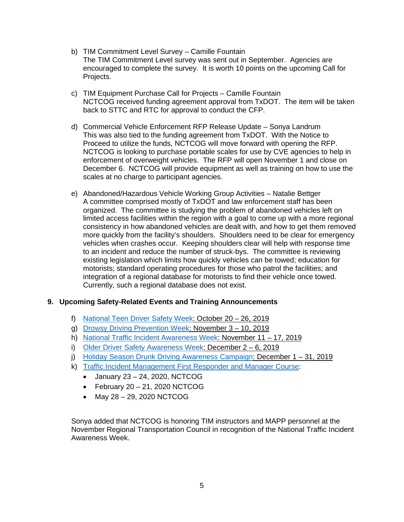- b) TIM Commitment Level Survey Camille Fountain The TIM Commitment Level survey was sent out in September. Agencies are encouraged to complete the survey. It is worth 10 points on the upcoming Call for Projects.
- c) TIM Equipment Purchase Call for Projects Camille Fountain NCTCOG received funding agreement approval from TxDOT. The item will be taken back to STTC and RTC for approval to conduct the CFP.
- d) Commercial Vehicle Enforcement RFP Release Update Sonya Landrum This was also tied to the funding agreement from TxDOT. With the Notice to Proceed to utilize the funds, NCTCOG will move forward with opening the RFP. NCTCOG is looking to purchase portable scales for use by CVE agencies to help in enforcement of overweight vehicles. The RFP will open November 1 and close on December 6. NCTCOG will provide equipment as well as training on how to use the scales at no charge to participant agencies.
- e) Abandoned/Hazardous Vehicle Working Group Activities Natalie Bettger A committee comprised mostly of TxDOT and law enforcement staff has been organized. The committee is studying the problem of abandoned vehicles left on limited access facilities within the region with a goal to come up with a more regional consistency in how abandoned vehicles are dealt with, and how to get them removed more quickly from the facility's shoulders. Shoulders need to be clear for emergency vehicles when crashes occur. Keeping shoulders clear will help with response time to an incident and reduce the number of struck-bys. The committee is reviewing existing legislation which limits how quickly vehicles can be towed; education for motorists; standard operating procedures for those who patrol the facilities; and integration of a regional database for motorists to find their vehicle once towed. Currently, such a regional database does not exist.

# **9. Upcoming Safety-Related Events and Training Announcements**

- f) [National Teen Driver Safety Week:](https://www.trafficsafetymarketing.gov/get-materials/teen-safety/national-teen-driver-safety-week) October 20 26, 2019
- g) [Drowsy Driving Prevention Week:](https://drowsydriving.org/) November 3 10, 2019
- h) [National Traffic Incident Awareness Week:](http://timnetwork.org/traffic-incident-response-awareness-week/) November 11 17, 2019
- i) [Older Driver Safety Awareness Week:](https://www.aota.org/Conference-Events/Older-Driver-Safety-Awareness-Week.aspx) December 2 6, 2019
- j) [Holiday Season Drunk Driving Awareness Campaign:](https://www.trafficsafetymarketing.gov/get-materials/drunk-driving/drive-sober-or-get-pulled-over/holiday-season) December 1 31, 2019
- k) [Traffic Incident Management First Responder and Manager Course:](https://www.nctcog.org/training-development-institute/tdi-training-courses/public-safety-academy)
	- January 23 24, 2020, NCTCOG
	- $\bullet$  February 20 21, 2020 NCTCOG
	- May 28 29, 2020 NCTCOG

Sonya added that NCTCOG is honoring TIM instructors and MAPP personnel at the November Regional Transportation Council in recognition of the National Traffic Incident Awareness Week.